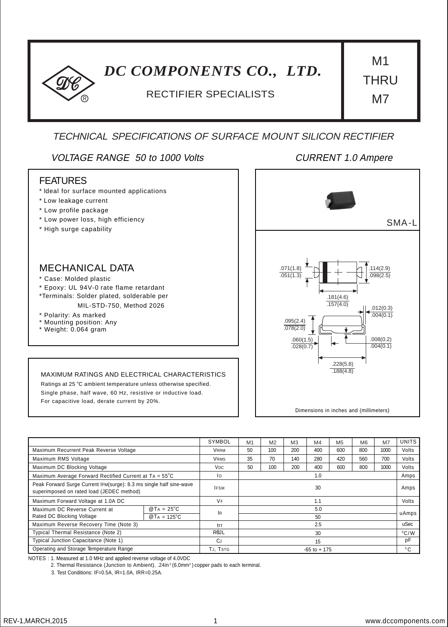# *DC COMPONENTS CO., LTD.* M1

# <sup>R</sup> RECTIFIER SPECIALISTS

**THRU** M7

# TECHNICAL SPECIFICATIONS OF SURFACE MOUNT SILICON RECTIFIER

# VOLTAGE RANGE 50 to 1000 Volts CURRENT 1.0 Ampere

### FEATURES

- \* ldeal for surface mounted applications
- \* Low leakage current
- \* Low profile package
- \* Low power loss, high efficiency
- \* High surge capability

# MECHANICAL DATA

- \* Case: Molded plastic
- \* Epoxy: UL 94V-0 rate flame retardant
- \*Terminals: Solder plated, solderable per
	- MIL-STD-750, Method 2026
- \* Polarity: As marked
- \* Mounting position: Any
- \* Weight: 0.064 gram

#### MAXIMUM RATINGS AND ELECTRICAL CHARACTERISTICS

Ratings at 25 °C ambient temperature unless otherwise specified. Single phase, half wave, 60 Hz, resistive or inductive load. For capacitive load, derate current by 20%.



Dimensions in inches and (millimeters)

|                                                                                                                  |                       | SYMBOL            | M <sub>1</sub>  | M <sub>2</sub> | M <sub>3</sub> | M4  | M <sub>5</sub> | M <sub>6</sub> | M <sub>7</sub> | <b>UNITS</b>   |
|------------------------------------------------------------------------------------------------------------------|-----------------------|-------------------|-----------------|----------------|----------------|-----|----------------|----------------|----------------|----------------|
| Maximum Recurrent Peak Reverse Voltage                                                                           |                       | VRRM              | 50              | 100            | 200            | 400 | 600            | 800            | 1000           | Volts          |
| Maximum RMS Voltage                                                                                              |                       | <b>VRMS</b>       | 35              | 70             | 140            | 280 | 420            | 560            | 700            | Volts          |
| Maximum DC Blocking Voltage                                                                                      |                       | V <sub>DC</sub>   | 50              | 100            | 200            | 400 | 600            | 800            | 1000           | Volts          |
| Maximum Average Forward Rectified Current at TA = 55°C                                                           |                       | Ιo                | 1.0             |                |                |     |                |                |                | Amps           |
| Peak Forward Surge Current IFM(surge): 8.3 ms single half sine-wave<br>superimposed on rated load (JEDEC method) |                       | <b>IFSM</b>       | 30              |                |                |     |                |                | Amps           |                |
| Maximum Forward Voltage at 1.0A DC                                                                               |                       | <b>VF</b>         | 1.1             |                |                |     |                |                | Volts          |                |
| Maximum DC Reverse Current at                                                                                    | $@TA = 25^{\circ}C$   | <b>IR</b>         | 5.0             |                |                |     |                |                |                | uAmps          |
| Rated DC Blocking Voltage                                                                                        | $@T_A = 125^{\circ}C$ |                   | 50              |                |                |     |                |                |                |                |
| Maximum Reverse Recovery Time (Note 3)                                                                           |                       | trr               | 2.5             |                |                |     |                |                | uSec           |                |
| Typical Thermal Resistance (Note 2)                                                                              |                       | R <sub>e</sub> JL | 30              |                |                |     |                |                |                | $^{\circ}$ C/W |
| Typical Junction Capacitance (Note 1)                                                                            |                       | CJ                | 15              |                |                |     |                |                | pF             |                |
| Operating and Storage Temperature Range                                                                          |                       | TJ. TSTG          | $-65$ to $+175$ |                |                |     |                |                |                | $^{\circ}$ C   |

NOTES : 1. Measured at 1.0 MHz and applied reverse voltage of 4.0VDC

2. Thermal Resistance (Junction to Ambient),  $.24$ in<sup>2</sup> (6.0mm<sup>2</sup>) copper pads to each terminal.

3. Test Conditions: IF=0.5A, IR=1.0A, IRR=0.25A.